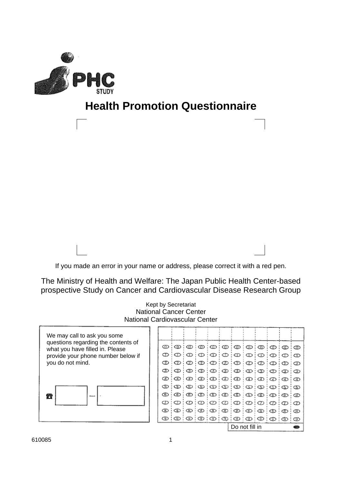

# **Health Promotion Questionnaire**



The Ministry of Health and Welfare: The Japan Public Health Center-based prospective Study on Cancer and Cardiovascular Disease Research Group

|                                                                        | Kept by Secretariat<br><b>National Cancer Center</b> |                               |     |     |        |   |                                                                                           |                 |                |    |   |    |  |
|------------------------------------------------------------------------|------------------------------------------------------|-------------------------------|-----|-----|--------|---|-------------------------------------------------------------------------------------------|-----------------|----------------|----|---|----|--|
| <b>National Cardiovascular Center</b>                                  |                                                      |                               |     |     |        |   |                                                                                           |                 |                |    |   |    |  |
| We may call to ask you some                                            |                                                      |                               |     |     |        |   |                                                                                           |                 |                |    |   |    |  |
| questions regarding the contents of<br>what you have filled in. Please | ⅏                                                    | ∞                             | ത   | ത   | ⅏      | ⊕ | ∞                                                                                         | ⊕               | ⊕              | စ  | ⊕ | cm |  |
| provide your phone number below if                                     | D                                                    | $\Theta(\Phi)\Phi(\Phi)\Phi$  |     |     |        |   |                                                                                           | $\circ$ $\circ$ |                | ∶⊕ | D |    |  |
| you do not mind.                                                       | ♋                                                    | Ø                             | Ø   |     |        |   | $ 0\rangle\langle0\rangle 0\rangle 0\rangle 0\rangle 0\rangle 0\rangle$                   |                 |                |    |   |    |  |
|                                                                        | จ                                                    |                               |     |     |        |   | $\circledcirc$ $\circledcirc$ $\circledcirc$ $\circledcirc$ $\circledcirc$ $\circledcirc$ |                 |                |    |   |    |  |
|                                                                        | ☎                                                    | จ                             |     |     |        |   | $\circledcirc$ (0) $\circledcirc$ (0) $\circledcirc$ (0)                                  |                 |                |    | ☎ |    |  |
|                                                                        | GD                                                   | D                             | ා ග |     |        |   |                                                                                           |                 |                |    | ග | ග  |  |
| 云                                                                      | ŒD.                                                  | ⊕                             | Œ   | ි ග | തൈ     |   | : ത: ത: ത: ത                                                                              |                 |                |    | ® | ®  |  |
|                                                                        | Ø                                                    | $\mathcal{D}$ : $\mathcal{D}$ |     |     |        |   | $1 \circledcirc \circledcirc \circledcirc \circledcirc \circledcirc$                      |                 |                |    | D |    |  |
|                                                                        | ŒD                                                   | ගෙ                            | จ   |     | ිව වෙම |   | $\oplus$ $\otimes$ $\oplus$ $\otimes$                                                     |                 |                |    | ⊕ | Œ  |  |
|                                                                        | ซ                                                    |                               |     |     |        |   | $\circledcirc$ $\circledcirc$ $\circledcirc$ $\circledcirc$                               |                 | $\circledcirc$ |    | ⊕ | ⊕  |  |
|                                                                        |                                                      |                               |     |     |        |   | Do not fill in                                                                            |                 |                |    |   |    |  |

610085 1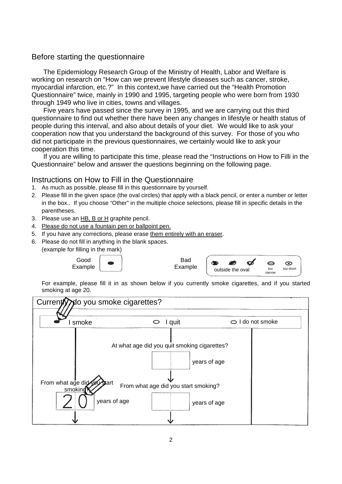#### Before starting the questionnaire

The Epidemiology Research Group of the Ministry of Health, Labor and Welfare is working on research on "How can we prevent lifestyle diseases such as cancer, stroke, myocardial infarction, etc.?" In this context,we have carried out the "Health Promotion Questionnaire" twice, mainly in 1990 and 1995, targeting people who were born from 1930 through 1949 who live in cities, towns and villages.

Five years have passed since the survey in 1995, and we are carrying out this third questionnaire to find out whether there have been any changes in lifestyle or health status of people during this interval, and also about details of your diet. We would like to ask your cooperation now that you understand the background of this survey. For those of you who did not participate in the previous questionnaires, we certainly would like to ask your cooperation this time.

If you are willing to participate this time, please read the "Instructions on How to Filli in the Questionnaire" below and answer the questions beginning on the following page.

#### Instructions on How to Fill in the Questionnaire

- 1. As much as possible, please fill in this questionnaire by yourself.
- 2. Please fill in the given space (the oval circles) that apply with a black pencil, or enter a number or letter in the box.. If you choose "Other" in the multiple choice selections, please fill in specific details in the parentheses.
- 3. Please use an HB, B or H graphite pencil.
- 4. Please do not use a fountain pen or ballpoint pen.
- 5. If you have any corrections, please erase them entirely with an eraser.
- 6. Please do not fill in anything in the blank spaces. (example for filling in the mark)

Good Example

| Bad     |
|---------|
| Example |

| Bad     |                  |               |           |
|---------|------------------|---------------|-----------|
| Example | outside the oval | too<br>narrow | too short |

For example, please fill it in as shown below if you currently smoke cigarettes, and if you started smoking at age 20.

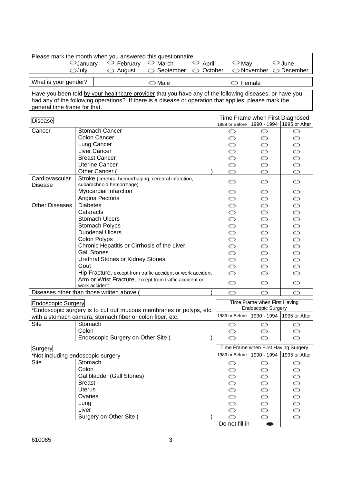|                              | Please mark the month when you answered this questionnaire.                                             |                                     |                                |                                                |                                                   |
|------------------------------|---------------------------------------------------------------------------------------------------------|-------------------------------------|--------------------------------|------------------------------------------------|---------------------------------------------------|
|                              | $\bigcirc$ January<br>$\circ$ February<br>$\circ$ March                                                 | $\overline{\smash{\bigcirc}}$ April | $\bigcirc$ May                 |                                                | $\bigcirc$ June                                   |
|                              | <b>OJuly</b><br>$\circlearrowright$ August<br>September                                                 | October<br>O                        |                                | $\bigcirc$ November $\bigcirc$ December        |                                                   |
| What is your gender?         | $\bigcirc$ Male                                                                                         |                                     | $\circ$ Female                 |                                                |                                                   |
|                              | Have you been told by your healthcare provider that you have any of the following diseases, or have you |                                     |                                |                                                |                                                   |
|                              | had any of the following operations? If there is a disease or operation that applies, please mark the   |                                     |                                |                                                |                                                   |
| general time frame for that. |                                                                                                         |                                     |                                |                                                |                                                   |
| <b>Disease</b>               |                                                                                                         |                                     | 1989 or Before                 | Time Frame when First Diagnosed<br>1990 - 1994 | 1995 or After                                     |
| Cancer                       | Stomach Cancer                                                                                          |                                     | O                              | O                                              | O                                                 |
|                              | <b>Colon Cancer</b>                                                                                     |                                     | O                              | O                                              | O                                                 |
|                              | Lung Cancer                                                                                             |                                     | O                              | O                                              | O                                                 |
|                              | Liver Cancer                                                                                            |                                     | Ó                              | O                                              | Ő                                                 |
|                              | <b>Breast Cancer</b>                                                                                    |                                     | O                              | Ó                                              | Ő                                                 |
|                              | <b>Uterine Cancer</b>                                                                                   |                                     | $\circ$                        | Ó                                              | Ő                                                 |
| Cardiovascular               | Other Cancer (                                                                                          |                                     | $\circ$                        | O                                              | O                                                 |
| <b>Disease</b>               | Stroke (cerebral hemorrhaging, cerebral infarction,<br>subarachnoid hemorrhage)                         |                                     | $\circ$                        | $\circ$                                        | O                                                 |
|                              | Myocardial Infarction                                                                                   |                                     | O                              | O                                              | O                                                 |
|                              | Angina Pectoris                                                                                         |                                     | O                              | O                                              | Û                                                 |
| <b>Other Diseases</b>        | <b>Diabetes</b>                                                                                         |                                     | Ó                              | $\circ$                                        | O                                                 |
|                              | Cataracts                                                                                               |                                     | O                              | O                                              | O                                                 |
|                              | <b>Stomach Ulcers</b>                                                                                   |                                     | O                              | Ó                                              | $\begin{smallmatrix}0&0&0\0&0&0\end{smallmatrix}$ |
|                              | Stomach Polyps                                                                                          |                                     | O                              | Ó                                              |                                                   |
|                              | <b>Duodenal Ulcers</b>                                                                                  |                                     | O                              | Ó                                              |                                                   |
|                              | Colon Polyps                                                                                            |                                     | $\circ$                        | O                                              |                                                   |
|                              | Chronic Hepatitis or Cirrhosis of the Liver                                                             |                                     | $\circ$                        | O                                              | Ő                                                 |
|                              | <b>Gall Stones</b>                                                                                      |                                     | O                              | O                                              | O                                                 |
|                              | Urethral Stones or Kidney Stones                                                                        |                                     | $\circ$                        | O                                              | O                                                 |
|                              | Gout<br>Hip Fracture, except from traffic accident or work accident                                     |                                     | O                              | O                                              | O                                                 |
|                              | Arm or Wrist Fracture, except from traffic accident or                                                  |                                     | $\circ$                        | $\circ$                                        | Ó                                                 |
|                              | work accident                                                                                           |                                     | $\circ$                        | O                                              | O                                                 |
|                              | Diseases other than those written above                                                                 |                                     | $\circ$                        | O                                              | O                                                 |
| <b>Endoscopic Surgery</b>    |                                                                                                         |                                     |                                | Time Frame when First Having                   |                                                   |
|                              | *Endoscopic surgery is to cut out mucous membranes or polyps, etc.                                      |                                     |                                | <b>Endoscopic Surgery</b>                      |                                                   |
|                              | with a stomach camera, stomach fiber or colon fiber, etc.                                               |                                     | 1989 or Before                 | 1990 - 1994                                    | 1995 or After                                     |
| <b>Site</b>                  | Stomach                                                                                                 |                                     | O                              | O                                              | O                                                 |
|                              | Colon                                                                                                   |                                     | O                              | O                                              | O                                                 |
|                              | Endoscopic Surgery on Other Site (                                                                      |                                     | O                              | O                                              | O                                                 |
| <b>Surgery</b>               |                                                                                                         |                                     |                                | Time Frame when First Having Surgery           |                                                   |
|                              | *Not including endoscopic surgery                                                                       |                                     | 1989 or Before                 | 1990 - 1994                                    | 1995 or After                                     |
| <b>Site</b>                  | Stomach                                                                                                 |                                     | O                              | O                                              | O                                                 |
|                              | Colon                                                                                                   |                                     | O                              | O                                              | O                                                 |
|                              | Gallbladder (Gall Stones)                                                                               |                                     | O                              | O                                              | O                                                 |
|                              | <b>Breast</b><br><b>Uterus</b>                                                                          |                                     | O                              | O                                              |                                                   |
|                              | Ovaries                                                                                                 |                                     | $\circ$<br>$\circlearrowright$ | O<br>O                                         |                                                   |
|                              | Lung                                                                                                    |                                     | Ő                              | O                                              |                                                   |
|                              | Liver                                                                                                   |                                     | Ó                              | Ó                                              | 00000                                             |
|                              | Surgery on Other Site (                                                                                 |                                     | $\circ$                        | O                                              | O                                                 |
|                              |                                                                                                         |                                     | Do not fill in                 | ●                                              |                                                   |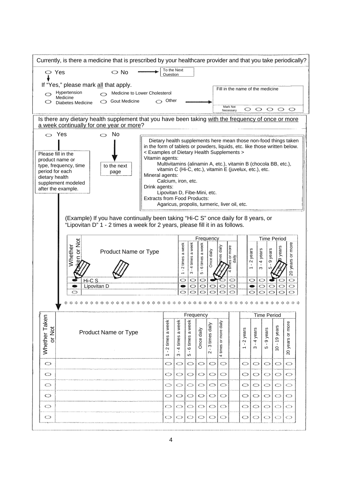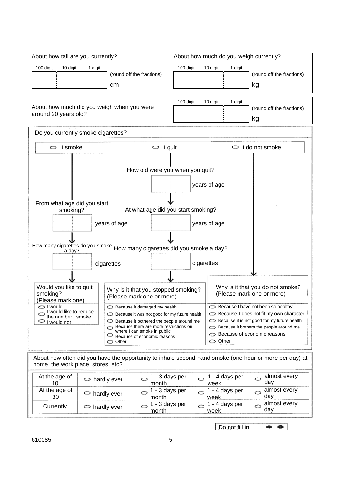| About how tall are you currently?                                        |                                                                                                                                                                                                                                                                     | About how much do you weigh currently?                                                                                                                                                                                                  |  |  |  |  |  |  |  |
|--------------------------------------------------------------------------|---------------------------------------------------------------------------------------------------------------------------------------------------------------------------------------------------------------------------------------------------------------------|-----------------------------------------------------------------------------------------------------------------------------------------------------------------------------------------------------------------------------------------|--|--|--|--|--|--|--|
| 100 digit<br>10 digit                                                    | 1 digit<br>(round off the fractions)<br>cm                                                                                                                                                                                                                          | 100 digit<br>10 digit<br>1 digit<br>(round off the fractions)<br>kg                                                                                                                                                                     |  |  |  |  |  |  |  |
| around 20 years old?                                                     | About how much did you weigh when you were                                                                                                                                                                                                                          | 100 digit<br>10 digit<br>1 digit<br>(round off the fractions)<br>kg                                                                                                                                                                     |  |  |  |  |  |  |  |
| Do you currently smoke cigarettes?                                       |                                                                                                                                                                                                                                                                     |                                                                                                                                                                                                                                         |  |  |  |  |  |  |  |
| I smoke<br>O                                                             | I quit<br>O                                                                                                                                                                                                                                                         | I do not smoke<br>O                                                                                                                                                                                                                     |  |  |  |  |  |  |  |
| From what age did you start                                              |                                                                                                                                                                                                                                                                     | How old were you when you quit?<br>years of age                                                                                                                                                                                         |  |  |  |  |  |  |  |
| smoking?                                                                 |                                                                                                                                                                                                                                                                     | At what age did you start smoking?                                                                                                                                                                                                      |  |  |  |  |  |  |  |
|                                                                          | years of age                                                                                                                                                                                                                                                        | years of age                                                                                                                                                                                                                            |  |  |  |  |  |  |  |
|                                                                          | How many cigarettes do you smoke How many cigarettes did you smoke a day?                                                                                                                                                                                           |                                                                                                                                                                                                                                         |  |  |  |  |  |  |  |
|                                                                          | cigarettes                                                                                                                                                                                                                                                          | cigarettes                                                                                                                                                                                                                              |  |  |  |  |  |  |  |
|                                                                          |                                                                                                                                                                                                                                                                     |                                                                                                                                                                                                                                         |  |  |  |  |  |  |  |
| Would you like to quit<br>smoking?<br>(Please mark one)                  | Why is it that you stopped smoking?<br>(Please mark one or more)                                                                                                                                                                                                    | Why is it that you do not smoke?<br>(Please mark one or more)                                                                                                                                                                           |  |  |  |  |  |  |  |
| ○ I would<br>I would like to reduce<br>the number I smoke<br>I would not | $\bigcirc$ Because it damaged my health<br>$\ominus$ Because it was not good for my future health<br>Because it bothered the people around me<br>Because there are more restrictions on<br>⇔<br>where I can smoke in public<br>Because of economic reasons<br>Other | ◯ Because I have not been so healthy<br>$\heartsuit$ Because it does not fit my own character<br>Because it is not good for my future health<br>Because it bothers the people around me<br>Because of economic reasons<br>$\circ$ Other |  |  |  |  |  |  |  |
| home, the work place, stores, etc?                                       |                                                                                                                                                                                                                                                                     | About how often did you have the opportunity to inhale second-hand smoke (one hour or more per day) at                                                                                                                                  |  |  |  |  |  |  |  |
| At the age of<br>10                                                      | 1 - 3 days per<br>O<br>$\Rightarrow$ hardly ever<br>month                                                                                                                                                                                                           | almost every<br>1 - 4 days per<br>$\supset$<br>0<br>day<br>week                                                                                                                                                                         |  |  |  |  |  |  |  |
| At the age of<br>30                                                      | 1 - 3 days per<br>O<br>$\circ$ hardly ever<br>month                                                                                                                                                                                                                 | almost every<br>1 - 4 days per<br>Ó<br>Ô<br>day<br>week                                                                                                                                                                                 |  |  |  |  |  |  |  |
| Currently                                                                | 1 - 3 days per<br>O<br>$\circ$ hardly ever<br>month                                                                                                                                                                                                                 | almost every<br>1 - 4 days per<br>Ô<br>⇔<br>day<br>week                                                                                                                                                                                 |  |  |  |  |  |  |  |

Do not fill in  $\bullet$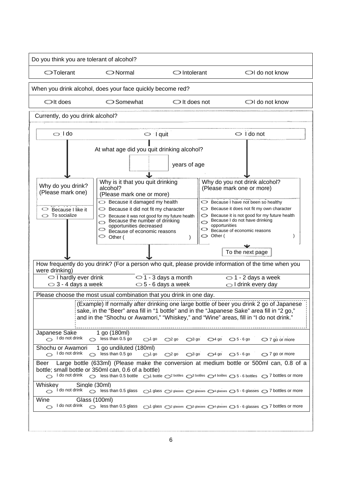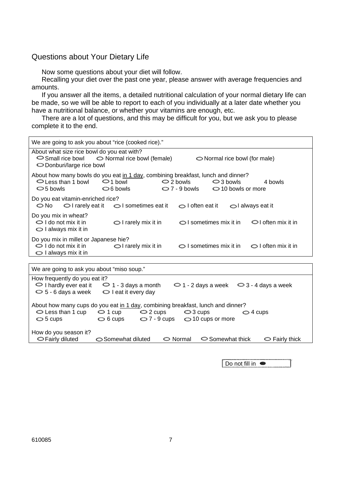### Questions about Your Dietary Life

Now some questions about your diet will follow.

Recalling your diet over the past one year, please answer with average frequencies and amounts.

If you answer all the items, a detailed nutritional calculation of your normal dietary life can be made, so we will be able to report to each of you individually at a later date whether you have a nutritional balance, or whether your vitamins are enough, etc.

There are a lot of questions, and this may be difficult for you, but we ask you to please complete it to the end.

| We are going to ask you about "rice (cooked rice)."                                                                                                                                                                                                                                           |                               |                                  |                              |  |  |  |  |  |  |  |  |
|-----------------------------------------------------------------------------------------------------------------------------------------------------------------------------------------------------------------------------------------------------------------------------------------------|-------------------------------|----------------------------------|------------------------------|--|--|--|--|--|--|--|--|
| About what size rice bowl do you eat with?<br>$\circ$ Small rice bowl $\circ$ Normal rice bowl (female)<br>$\bigcirc$ Normal rice bowl (for male)<br>$\bigcirc$ Donburi/large rice bowl                                                                                                       |                               |                                  |                              |  |  |  |  |  |  |  |  |
| About how many bowls do you eat in 1 day, combining breakfast, lunch and dinner?<br>$\bigcirc$ Less than 1 bowl<br>$\bigcirc$ 1 bowl<br>$\bigcirc$ 2 bowls<br>$\bigcirc$ 3 bowls<br>4 bowls<br>$\bigcirc$ 7 - 9 bowls $\bigcirc$ 10 bowls or more<br>$\bigcirc$ 6 bowls<br>$\bigcirc$ 5 bowls |                               |                                  |                              |  |  |  |  |  |  |  |  |
| Do you eat vitamin-enriched rice?<br>$\circ$ No $\circ$ I rarely eat it $\circ$ I sometimes eat it $\circ$ I often eat it<br>ol always eat it                                                                                                                                                 |                               |                                  |                              |  |  |  |  |  |  |  |  |
| Do you mix in wheat?<br>$\bigcirc$ I do not mix it in<br>$\bigcirc$ I always mix it in                                                                                                                                                                                                        | $\bigcirc$ I rarely mix it in | S I sometimes mix it in          | $\bigcirc$ I often mix it in |  |  |  |  |  |  |  |  |
| Do you mix in millet or Japanese hie?<br>$\bigcirc$ I do not mix it in<br>$\bigcirc$ I always mix it in                                                                                                                                                                                       | $\bigcirc$ I rarely mix it in | $\bigcirc$ I sometimes mix it in | $\bigcirc$ I often mix it in |  |  |  |  |  |  |  |  |

| We are going to ask you about "miso soup."                                      |                               |                       |          |                                                           |                   |                      |  |  |  |  |
|---------------------------------------------------------------------------------|-------------------------------|-----------------------|----------|-----------------------------------------------------------|-------------------|----------------------|--|--|--|--|
| How frequently do you eat it?                                                   |                               |                       |          |                                                           |                   |                      |  |  |  |  |
| $\circ$ I hardly ever eat it                                                    | $\bigcirc$ 1 - 3 days a month |                       |          | $\bigcirc$ 1 - 2 days a week $\bigcirc$ 3 - 4 days a week |                   |                      |  |  |  |  |
| $\bigcirc$ 5 - 6 days a week                                                    | $\bigcirc$ I eat it every day |                       |          |                                                           |                   |                      |  |  |  |  |
|                                                                                 |                               |                       |          |                                                           |                   |                      |  |  |  |  |
| About how many cups do you eat in 1 day, combining breakfast, lunch and dinner? |                               |                       |          |                                                           |                   |                      |  |  |  |  |
| $\bigcirc$ Less than 1 cup                                                      | $\circ$ 1 cup                 | $\bigcirc$ 2 cups     |          | $\bigcirc$ 3 cups                                         | $\bigcirc$ 4 cups |                      |  |  |  |  |
| $\bigcirc$ 5 cups                                                               | $\circ$ 6 cups                | $\bigcirc$ 7 - 9 cups |          | $\bigcirc$ 10 cups or more                                |                   |                      |  |  |  |  |
|                                                                                 |                               |                       |          |                                                           |                   |                      |  |  |  |  |
| How do you season it?                                                           |                               |                       |          |                                                           |                   |                      |  |  |  |  |
| <b>○Fairly diluted</b>                                                          | Somewhat diluted              |                       | ◯ Normal | $\circ$ Somewhat thick                                    |                   | $\circ$ Fairly thick |  |  |  |  |

Do not fill in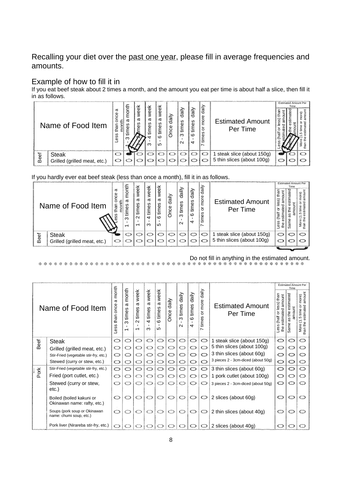Recalling your diet over the past one year, please fill in average frequencies and amounts.

# Example of how to fill it in

If you eat beef steak about 2 times a month, and the amount you eat per time is about half a slice, then fill it in as follows.

|      |                              |                       | 主      |                    |                        |                                      |                  |                               |                                     |                               |                                     |  | <b>Estimated Amount Per</b> |    |
|------|------------------------------|-----------------------|--------|--------------------|------------------------|--------------------------------------|------------------|-------------------------------|-------------------------------------|-------------------------------|-------------------------------------|--|-----------------------------|----|
|      | Name of Food Item            | σ<br>ᆂ<br>ഗ<br>Ō<br>Φ | ត<br>∝ | Φ<br>Ф<br>σ<br>စ္ၿ | 훇<br>Φ<br>σ<br>စိ<br>ო | week<br>σ<br>es<br>ξ<br>$\circ$<br>ഗ | ≧<br>శ్ర<br>Once | daily<br>times<br>ო<br>$\sim$ | $\dot{a}$<br>3<br>ξ<br>$\circ$<br>4 | ਚaily<br>more<br>៦<br>3<br>ίm | <b>Estimated Amount</b><br>Per Time |  |                             | क़ |
|      | <b>Steak</b>                 |                       |        |                    |                        |                                      |                  |                               |                                     |                               | steak slice (about 150g)            |  |                             |    |
| Beef | Grilled (grilled meat, etc.) |                       |        |                    |                        |                                      |                  |                               |                                     |                               | 5 thin slices (about 100g)          |  |                             |    |

If you hardly ever eat beef steak (less than once a month), fill it in as follows.

|      | Name of Food Item            | σ<br>$\circ$ | month<br>σ<br>ഗ<br>Φ<br>ო<br>$\overline{\phantom{0}}$ | $\overline{\mathbb{Q}}$<br>Φ<br>σ<br>3<br>Ë<br>$\sim$<br>$\overline{\phantom{0}}$ | week<br>σ<br>ဖ<br>Φ<br>ίm<br>4<br>ო | week<br>σ<br>3<br>Ē<br>$\circ$<br>5 | ≧<br>.<br>ਰ<br>nce | dailly<br>times<br>ო<br>$\mathbf{\Omega}$ | daily<br>w<br>time<br>$\circ$<br>4 | daily<br>more<br>৯<br>times<br>∼ | <b>Estimated Amount</b><br>Per Time | SS<br>₾<br>ă<br>llerl)<br>es<br>⇆ | <b>Estimated Amount Per</b><br>Time<br>ᢦ<br>ate<br>æ | more)<br>ع<br>ا<br>▿<br>$\check{ }$<br>ā<br>ē<br>than |
|------|------------------------------|--------------|-------------------------------------------------------|-----------------------------------------------------------------------------------|-------------------------------------|-------------------------------------|--------------------|-------------------------------------------|------------------------------------|----------------------------------|-------------------------------------|-----------------------------------|------------------------------------------------------|-------------------------------------------------------|
| Beef | <b>Steak</b>                 |              |                                                       |                                                                                   |                                     |                                     |                    |                                           |                                    |                                  | steak slice (about 150g)            |                                   |                                                      |                                                       |
|      | Grilled (grilled meat, etc.) |              |                                                       |                                                                                   |                                     |                                     |                    |                                           |                                    |                                  | 5 thin slices (about 100g)          |                                   |                                                      |                                                       |

Do not fill in anything in the estimated amount.

|      | Name of Food Item                                       |   |                               |                                                                          |                                                           |                                                    |               |                                                            |                                |                                |                                     |   | <b>Estimated Amount Per</b><br><b>Time</b> |                                                                             |  |
|------|---------------------------------------------------------|---|-------------------------------|--------------------------------------------------------------------------|-----------------------------------------------------------|----------------------------------------------------|---------------|------------------------------------------------------------|--------------------------------|--------------------------------|-------------------------------------|---|--------------------------------------------|-----------------------------------------------------------------------------|--|
|      |                                                         |   | month<br>σ<br>times<br>ო<br>ᅮ | week<br>σ<br>times<br>$\sim$<br>$\mathbf{I}$<br>$\overline{\phantom{0}}$ | week<br>ω<br>times<br>$\overline{a}$<br>$\mathbf{I}$<br>ო | week<br>ω<br>times<br>$\circ$<br>$\mathbf{I}$<br>5 | daily<br>Once | daily<br>times<br>ო<br>$\blacksquare$<br>$\mathbf{\Omega}$ | daily<br>times<br>$\circ$<br>4 | $d$ aily<br>more<br>ŏ<br>times | <b>Estimated Amount</b><br>Per Time |   | estimated<br>amount<br>the<br>as<br>Same   | amount<br>more)<br>ŏ<br>estimated<br>time<br>rù<br>≂<br>More (1<br>than the |  |
| Beef | <b>Steak</b>                                            | O | O                             | O                                                                        | O                                                         | O                                                  |               | O                                                          | O                              | O                              | 1 steak slice (about 150g)          | O | ◯                                          | O                                                                           |  |
|      | Grilled (grilled meat, etc.)                            | ◯ | O                             |                                                                          |                                                           |                                                    |               |                                                            | $\circ$                        | O                              | 5 thin slices (about 100g)          | O | ◯                                          | O                                                                           |  |
|      | Stir-Fried (vegetable stir-fry, etc.)                   | O | O                             |                                                                          | ⊂                                                         | O                                                  |               | o                                                          |                                | ◯                              | 3 thin slices (about 60g)           | ◯ | o                                          | O                                                                           |  |
|      | Stewed (curry or stew, etc.)                            | O | っ                             | O                                                                        | O                                                         | O                                                  | o             | O                                                          | O                              | ◯                              | 3 pieces 2 - 3cm-diced (about 50g)  | O | O                                          | Ö                                                                           |  |
|      | Stir-Fried (vegetable stir-fry, etc.)                   | O | O                             | O                                                                        | O                                                         | O                                                  | O             | O                                                          | ث                              | O                              | 3 thin slices (about 60g)           | O | O                                          | O                                                                           |  |
| Pork | Fried (port cutlet, etc.)                               | Ő | ◯                             | ◯                                                                        | O                                                         | O                                                  | O             | O                                                          | O                              | O                              | 1 pork cutlet (about 100g)          | O |                                            | O                                                                           |  |
|      | Stewed (curry or stew,<br>etc.)                         | O |                               | っ                                                                        |                                                           |                                                    |               | O                                                          | O                              |                                | 3 pieces 2 - 3cm-diced (about 50g)  | O |                                            | o                                                                           |  |
|      | Boiled (boiled kakuni or<br>Okinawan name: rafty, etc.) | ◯ | O                             | O                                                                        |                                                           |                                                    | ◯             | O                                                          | O                              | O                              | 2 slices (about 60g)                | O | O                                          | O                                                                           |  |
|      | Soups (pork soup or Okinawan<br>name: chumi soup, etc.) | O |                               | O                                                                        | Ő                                                         | O                                                  |               | O                                                          | O                              | ◯                              | 2 thin slices (about 40g)           | Ó | ು                                          | O                                                                           |  |
|      | Pork liver (Nirareba stir-fry, etc.)                    |   |                               |                                                                          |                                                           |                                                    |               | $\circ$                                                    | O                              | O                              | 2 slices (about 40g)                |   |                                            |                                                                             |  |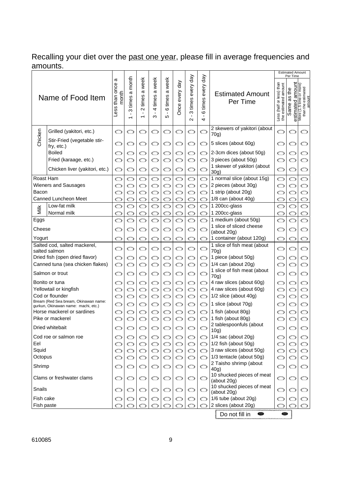# Recalling your diet over the past one year, please fill in average frequencies and amounts. amounts.<br>I Estimated Amount

|                |                                                                             |                                 |                                                                     |                                       |                                        |                                  |                |                                      |                                                         |                                                  |                                                  | <b>Estimated Amount</b><br>Per Time      |                                                   |  |
|----------------|-----------------------------------------------------------------------------|---------------------------------|---------------------------------------------------------------------|---------------------------------------|----------------------------------------|----------------------------------|----------------|--------------------------------------|---------------------------------------------------------|--------------------------------------------------|--------------------------------------------------|------------------------------------------|---------------------------------------------------|--|
|                | Name of Food Item                                                           | œ<br>than once<br>month<br>Less | a month<br>times<br>ო<br>$\blacksquare$<br>$\overline{\phantom{0}}$ | a week<br>times:<br>$\mathbf{\Omega}$ | a week<br>times<br>$\overline{a}$<br>ო | a week<br>times<br>$\circ$<br>LO | Once every day | day<br>every<br>times<br>ო<br>$\sim$ | day<br>every<br>times<br>$\circ$<br>$\blacksquare$<br>4 | <b>Estimated Amount</b><br>Per Time              | Less (half or less) than<br>the estimated amount | amount<br>₽ф<br>3g<br>estimated<br>Same? | Θ.<br>More (1.5 time or mor<br>than the estimated |  |
|                | Grilled (yakitori, etc.)                                                    | O                               | ◯                                                                   | ◯                                     | ◯                                      | ◯                                | ◯              | ◯                                    | O                                                       | 2 skewers of yakitori (about<br>70g)             | O                                                |                                          | ◯                                                 |  |
| Chicken        | Stir-Fried (vegetable stir-<br>fry, etc.)                                   |                                 | O                                                                   | ⇔                                     | ం                                      | O                                | ⇔              | O                                    | O                                                       | 5 slices (about 60g)                             | O                                                |                                          | ⇔                                                 |  |
|                | <b>Boiled</b>                                                               |                                 | ာ                                                                   | ာ                                     |                                        |                                  |                | ◯                                    | ◯                                                       | 2-3cm dices (about 50g)                          |                                                  |                                          | ◯                                                 |  |
|                | Fried (karaage, etc.)                                                       |                                 |                                                                     | O                                     |                                        |                                  |                | ◯                                    | ◯                                                       | 3 pieces (about 50g)                             |                                                  |                                          | O                                                 |  |
|                | Chicken liver (yakitori, etc.)                                              | O                               | O                                                                   | O                                     | O                                      | O                                | O              | O                                    | O                                                       | 1 skewer of yakitori (about<br>30g)              | O                                                | ⇔                                        | O                                                 |  |
| Roast Ham      |                                                                             | ◯                               | ⇔                                                                   | ⇔                                     | O                                      | ⇔                                | ◯              | o                                    | O                                                       | 1 normal slice (about 15g)                       | ◯                                                | ◯                                        | O                                                 |  |
|                | Wieners and Sausages                                                        |                                 | ◯                                                                   | O                                     |                                        | ◯                                |                | O                                    | O                                                       | 2 pieces (about 30g)                             |                                                  |                                          | O                                                 |  |
| Bacon          |                                                                             |                                 | O                                                                   | Ó                                     |                                        | Ó                                | ഠ              | Ó                                    | O                                                       | 1 strip (about 20g)                              |                                                  |                                          | O                                                 |  |
|                | Canned Luncheon Meet                                                        |                                 |                                                                     | O                                     | O                                      | O                                |                | ◯                                    | ◯                                                       | 1/8 can (about 40g)                              | ေ                                                |                                          | O                                                 |  |
| Nilk           | Low-fat milk                                                                |                                 | Ó                                                                   | Ó                                     |                                        | Ő                                |                |                                      | Ő                                                       | 1 200cc-glass                                    |                                                  |                                          |                                                   |  |
|                | Normal milk                                                                 |                                 |                                                                     |                                       |                                        |                                  |                | ာ                                    | O                                                       | 1 200cc-glass                                    | c                                                |                                          |                                                   |  |
| Eggs<br>Cheese |                                                                             |                                 |                                                                     | Ó<br>◯                                |                                        | Ő<br>O                           | ◯              | ာ                                    | O<br>O                                                  | 1 medium (about 50g)<br>1 slice of sliced cheese |                                                  |                                          | O                                                 |  |
| Yogurt         |                                                                             | ෙ                               | ⇔                                                                   | ◯                                     | ◯                                      | ෙ                                | ◯              | o                                    | O                                                       | (about 20g)<br>1 container (about 120g)          | ෆ                                                | ◯                                        | ◯                                                 |  |
|                | Salted cod, salted mackerel,                                                |                                 |                                                                     |                                       |                                        |                                  |                |                                      |                                                         | 1 slice of fish meat (about                      |                                                  |                                          |                                                   |  |
|                | salted salmon<br>Dried fish (open dried flavor)                             | O<br>O                          | O<br>O                                                              | O                                     | O                                      | O                                | ◯              | ⇔                                    | O                                                       | 70g)<br>1 piece (about 50g)                      | O                                                | ⇔                                        | O<br>O                                            |  |
|                | Canned tuna (sea chicken flakes)                                            | O                               | O                                                                   | ⇔<br>O                                | O<br>$\circ$                           | O<br>O                           | ◯<br>ෙ         | O<br>O                               | O<br>O                                                  | $1/4$ can (about 20g)                            | ◯<br>O                                           | ာ<br>O                                   | O                                                 |  |
|                | Salmon or trout                                                             | O                               | ⇔                                                                   | ⇔                                     | O                                      | ⇔                                | ◯              | ◯                                    | O                                                       | 1 slice of fish meat (about<br>70q)              | O                                                | ⇔                                        | O                                                 |  |
|                | Bonito or tuna                                                              |                                 | O                                                                   |                                       | O                                      | O                                | ෙ              | O                                    | O                                                       | 4 raw slices (about 60g)                         | O                                                | ◯                                        | O                                                 |  |
|                | Yellowtail or kingfish                                                      |                                 | O                                                                   | O                                     | O                                      | O                                | O              | O                                    | O                                                       | 4 raw slices (about 60g)                         | o                                                | O                                        | O                                                 |  |
|                | Cod or flounder                                                             |                                 | O                                                                   | O                                     | Ő                                      | Ó                                | O              | Ó                                    | O                                                       | 1/2 slice (about 40g)                            | ◯                                                |                                          | O                                                 |  |
|                | Bream (Red Sea bream, Okinawan name:<br>gurkun, Okinawan name: machi, etc.) |                                 | O                                                                   | O                                     | O                                      | O                                | ෆ              | O                                    | O                                                       | 1 slice (about 70g)                              |                                                  | ာ                                        | O                                                 |  |
|                | Horse mackerel or sardines                                                  |                                 | ◯                                                                   | ◯                                     | O                                      | ◯                                | ෆ              | ◯                                    | O                                                       | 1 fish (about 80g)                               |                                                  | ◯                                        | O                                                 |  |
|                | Pike or mackerel                                                            |                                 |                                                                     | O                                     |                                        |                                  |                | ◯                                    | O                                                       | 1 fish (about 80g)                               |                                                  |                                          |                                                   |  |
|                | Dried whitebait                                                             | O                               | ာ                                                                   | O                                     | ာ                                      | O                                | ⇔              | O                                    | O                                                       | 2 tablespoonfuls (about<br>10g)                  | O                                                | O                                        | ာ                                                 |  |
|                | Cod roe or salmon roe                                                       | ෙ                               | O                                                                   | O                                     | ం                                      | O                                | ⇔              | O                                    | $\circ$                                                 | 1/4 sac (about 20g)                              | O                                                | O                                        | O                                                 |  |
| Eel            |                                                                             | O                               | O                                                                   | O                                     | O                                      | O                                | $\circ$        | O                                    | ం                                                       | 1/2 fish (about 50g)                             | O                                                | O                                        | O                                                 |  |
| Squid          |                                                                             | O                               | O                                                                   | O                                     | O                                      | O                                | O              | O                                    | O                                                       | 3 raw slices (about 50g)                         | O                                                | O                                        | O                                                 |  |
| Octopus        |                                                                             | O                               | O                                                                   | O                                     | O                                      | O                                | O              | O                                    | O                                                       | 1/3 tentacle (about 50g)                         | ෆ                                                | O                                        | O                                                 |  |
| Shrimp         |                                                                             | ◯                               | O                                                                   | O                                     | ⇔                                      | O                                | ⇔              | O                                    | ◯                                                       | 2 Taisho shrimp (about<br>40g)                   | O                                                | ⇔                                        | O                                                 |  |
|                | Clams or freshwater clams                                                   | O                               | O                                                                   | O                                     | O                                      | O                                | O              | O                                    | O                                                       | 10 shucked pieces of meat<br>(about 20g)         | $\circ$                                          | O                                        | O                                                 |  |
| Snails         |                                                                             | O                               | O                                                                   | O                                     | ం                                      | O                                | O              | O                                    | O                                                       | 10 shucked pieces of meat<br>(about 20g)         | O                                                | O                                        | O                                                 |  |
| Fish cake      |                                                                             | ෙ                               | O                                                                   | O                                     | ం                                      | O                                | ⇔              | O                                    | െ                                                       | $1/6$ tube (about 20g)                           | ◯                                                |                                          | O                                                 |  |
| Fish paste     |                                                                             |                                 |                                                                     |                                       |                                        |                                  |                |                                      |                                                         | 2 slices (about 20g)                             |                                                  |                                          | O                                                 |  |
|                |                                                                             |                                 |                                                                     |                                       |                                        |                                  |                |                                      |                                                         | Do not fill in<br>●                              |                                                  |                                          |                                                   |  |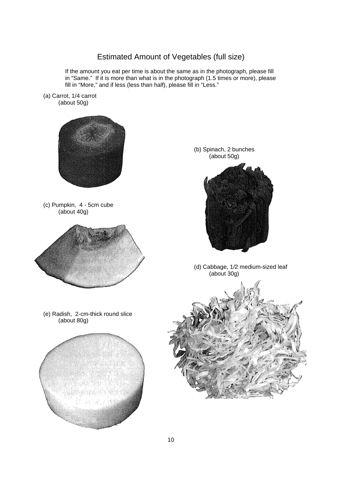# Estimated Amount of Vegetables (full size)

If the amount you eat per time is about the same as in the photograph, please fill in "Same." If it is more than what is in the photograph (1.5 times or more), please fill in "More," and if less (less than half), please fill in "Less."

(a) Carrot, 1/4 carrot (about 50g)

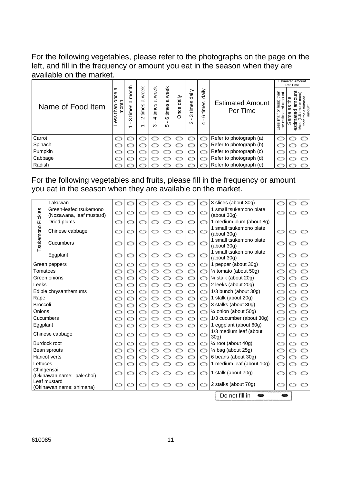For the following vegetables, please refer to the photographs on the page on the left, and fill in the frequency or amount you eat in the season when they are available on the market.

|                   |                                               |                               |                                                                              |                                   |                                      |                  |                               |                                             |                                     | <b>Estimated Amount</b><br>Per Time                                                   |
|-------------------|-----------------------------------------------|-------------------------------|------------------------------------------------------------------------------|-----------------------------------|--------------------------------------|------------------|-------------------------------|---------------------------------------------|-------------------------------------|---------------------------------------------------------------------------------------|
| Name of Food Item | σ<br>ğ<br>month<br>than<br>ഗ<br><b>S</b><br>Φ | month<br>ω<br>times<br>ო<br>ᅮ | week<br>$\boldsymbol{\varpi}$<br>times<br>$\sim$<br>$\overline{\phantom{0}}$ | week<br>ω<br>ဖ<br>times<br>4<br>ო | week<br>ω<br>times<br>$\circ$<br>5   | $d$ aily<br>Once | daily<br>times<br>ო<br>$\sim$ | daily<br>times<br>$\circ$<br>$\overline{ }$ | <b>Estimated Amount</b><br>Per Time | than<br>amount<br>or less)<br>ᢦ<br>аťе<br>೯<br>(half<br>stim<br>Ф<br>늛<br>Less<br>the |
| Carrot            | $\subset$                                     |                               |                                                                              |                                   | $\epsilon$                           |                  |                               | œ                                           | Refer to photograph (a)             | O                                                                                     |
| Spinach           |                                               |                               |                                                                              |                                   | $\mathbf{V}_{\text{MSE},\text{eff}}$ |                  |                               | CO                                          | Refer to photograph (b)             | っ                                                                                     |
| Pumpkin           |                                               |                               |                                                                              | فتنبط                             | $\mathbf{Q}_{\text{total}}$          |                  |                               | Œ                                           | Refer to photograph (c)             |                                                                                       |
| Cabbage           |                                               |                               |                                                                              |                                   |                                      |                  |                               | ∷                                           | Refer to photograph (d)             | ා                                                                                     |
| Radish            |                                               |                               |                                                                              |                                   |                                      |                  |                               |                                             | Refer to photograph (e)             |                                                                                       |

For the following vegetables and fruits, please fill in the frequency or amount you eat in the season when they are available on the market.

|                 | Takuwan                   | $\circlearrowright$ |         |         |         |   |         |         | ෆ | 3 slices (about 30g)                   | $\subset$ |   |   |
|-----------------|---------------------------|---------------------|---------|---------|---------|---|---------|---------|---|----------------------------------------|-----------|---|---|
|                 | Green-leafed tsukemono    | O                   |         | O       |         |   |         |         |   | 1 small tsukemono plate                |           |   |   |
| Pickles         | (Nozawana, leaf mustard)  |                     |         |         |         |   |         |         | ာ | (about 30g)                            |           |   |   |
|                 | Dried plums               | $\circ$             | ഠ       | ◯       | ◯       | ◯ |         | O       | ෆ | 1 medium plum (about 8g)               |           |   |   |
| Tsukemono       | Chinese cabbage           |                     |         | O       | O       | Ó |         | ◯       | O | 1 small tsukemono plate                | O         |   |   |
|                 |                           |                     |         |         |         |   |         |         |   | (about 30g)<br>1 small tsukemono plate |           |   |   |
| Cucumbers       |                           |                     | $\circ$ | O       | O       | Ó | $\circ$ | O       | O | (about 30g)                            | O         | O | ෆ |
|                 |                           |                     |         |         |         |   |         |         |   | 1 small tsukemono plate                |           |   |   |
|                 | Eggplant                  |                     | O       | $\circ$ | $\circ$ | O | O       | O       | O | (about 30g)                            | O         |   | ෆ |
|                 | Green peppers             | O                   | $\circ$ | Ó       | O       | Ó | $\circ$ | O       | O | 1 pepper (about 30g)                   | $\circ$   | O | Ő |
| Tomatoes        |                           | O                   | O       | O       | O       | O | O       | O       | O | 1⁄4 tomato (about 50g)                 | $\subset$ | ෙ | O |
|                 | Green onions              |                     | O       | Ó       | O       | O | $\circ$ | O       | O | 1/4 stalk (about 20g)                  |           | O | Ó |
| Leeks           |                           | O                   | O       | O       | O       | Ó | O       | O       | O | 2 leeks (about 20g)                    |           | ෙ | O |
|                 | Edible chrysanthemums     |                     | $\circ$ | Ó       | $\circ$ | Ó | $\circ$ | O       | O | 1/3 bunch (about 30g)                  |           | O | O |
| Rape            |                           | O                   | O       | O       | $\circ$ | O | O       | O       | O | 1 stalk (about 20g)                    | O         | O | Ó |
| <b>Broccoli</b> |                           |                     | O       | O       | $\circ$ | O | O       | O       | O | 3 stalks (about 30g)                   |           |   | O |
| Onions          |                           | O                   | O       | Ó       | $\circ$ | O | O       | Ó       | O | 1⁄4 onion (about 50g)                  | O         | O | Ó |
|                 | Cucumbers                 |                     | O       | O       | $\circ$ | O | O       | O       | O | 1/3 cucumber (about 30g)               | O         | O | O |
| Eggplant        |                           | O                   | O       | O       | O       | Ó | O       | O       | O | 1 eggplant (about 60g)                 | O         | ෙ | O |
|                 | Chinese cabbage           |                     | O       | ◯       | O       | O | ෆ       | ◯       | O | 1/3 medium leaf (about                 |           | ◯ | O |
|                 |                           |                     |         |         |         |   |         |         |   | 30g)                                   |           |   |   |
|                 | Burdock root              |                     | O       | O       | O       | O | ◯       | O       | O | 1⁄4 root (about 40g)                   |           | O | O |
|                 | Bean sprouts              |                     | O       | O       | O       | Ó | $\circ$ | Ó       | O | $\frac{1}{4}$ bag (about 25g)          | O         | Ó | O |
|                 | <b>Haricot verts</b>      |                     | O       | Ó       | O       | Ó | O       | O       | O | 6 beans (about 30g)                    |           | O | O |
| Lettuces        |                           | O                   | O       | Ó       | ເມ      | Ó | O       | O       | O | 1 medium leaf (about 10g)              | O         |   | O |
| Chingensai      | (Okinawan name: pak-choi) |                     | O       | O       | O       | O | ഠ       | O       | O | 1 stalk (about 70g)                    | O         | O | ◯ |
|                 | Leaf mustard              |                     |         |         |         |   |         |         |   |                                        |           |   |   |
|                 | (Okinawan name: shimana)  |                     |         |         |         |   | ⇔       | $\circ$ | ൚ | 2 stalks (about 70g)                   | ന         |   | ෙ |
|                 |                           |                     |         |         |         |   |         |         |   | Do not fill in                         |           |   |   |
|                 |                           |                     |         |         |         |   |         |         |   |                                        |           |   |   |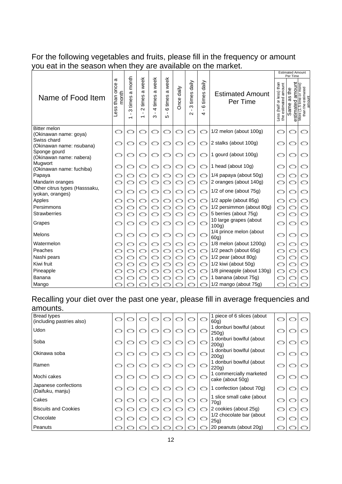# For the following vegetables and fruits, please fill in the frequency or amount you eat in the season when they are available on the market.

|                                                   |                                    |                                                                        |                                                |                                                                  |                                                 |            |                               |                                                |                                     |           | <b>Estimated Amount</b><br>Per Time          |                                                                   |
|---------------------------------------------------|------------------------------------|------------------------------------------------------------------------|------------------------------------------------|------------------------------------------------------------------|-------------------------------------------------|------------|-------------------------------|------------------------------------------------|-------------------------------------|-----------|----------------------------------------------|-------------------------------------------------------------------|
| Name of Food Item                                 | ω<br>once<br>month<br>than<br>Less | month<br>σ<br>times<br>ო<br>$\blacksquare$<br>$\overline{\phantom{0}}$ | week<br>$\sigma$<br>times<br>$\mathbf{\Omega}$ | week<br>$\sigma$<br>times<br>$\overline{4}$<br>$\mathbf{I}$<br>ო | a week<br>times<br>$\circ$<br>$\mathbf{I}$<br>Ю | Once daily | daily<br>times<br>ო<br>$\sim$ | daily<br>times<br>$\circ$<br>$\mathbf{I}$<br>4 | <b>Estimated Amount</b><br>Per Time |           | amount<br>the<br>S<br>σ<br>estimated<br>Same | time or more)<br>estimated<br>More (1.5 time of<br>than the estir |
| <b>Bitter melon</b><br>(Okinawan name: goya)      |                                    |                                                                        | ෆ                                              | O                                                                |                                                 |            | ⇔                             | റ                                              | 1/2 melon (about 100g)              | റ         | O                                            |                                                                   |
| Swiss chard<br>(Okinawan name: nsubana)           |                                    |                                                                        | O                                              | O                                                                | O                                               | ⇔          | ⇔                             | O                                              | 2 stalks (about 100g)               | റ         | ⇔                                            | O                                                                 |
| Sponge gourd<br>(Okinawan name: nabera)           |                                    |                                                                        | ◯                                              | ◯                                                                | O                                               |            | O                             | O                                              | 1 gourd (about 100g)                | റ         |                                              | ෆ                                                                 |
| Mugwort<br>(Okinawan name: fuchiba)               |                                    | ◯                                                                      | ◯                                              | O                                                                | ◯                                               | ⇔          | ◯                             | O                                              | 1 head (about 10g)                  |           |                                              |                                                                   |
| Papaya                                            |                                    |                                                                        | O                                              |                                                                  | O                                               |            | ◯                             | O                                              | 1/4 papaya (about 50g)              |           |                                              | ◯                                                                 |
| Mandarin oranges                                  |                                    |                                                                        | ◯                                              |                                                                  | Ѽ                                               |            | O                             | O                                              | 2 oranges (about 140g)              |           |                                              |                                                                   |
| Other citrus types (Hasssaku,<br>iyokan, oranges) |                                    |                                                                        | O                                              |                                                                  | O                                               |            | O                             | O                                              | 1/2 of one (about 75g)              | c         |                                              | O                                                                 |
| Apples                                            |                                    | O                                                                      | O                                              | O                                                                | O                                               | O          | O                             | O                                              | $1/2$ apple (about 85g)             | O         | ◯                                            | O                                                                 |
| Persimmons                                        |                                    | O                                                                      | O                                              |                                                                  | ෙ                                               | O          | ◯                             | O                                              | 1/2 persimmon (about 80g)           | O         | ◯                                            | O                                                                 |
| <b>Strawberries</b>                               |                                    |                                                                        | ෆ                                              |                                                                  | O                                               |            |                               | O                                              | 5 berries (about 75g)               |           |                                              | O                                                                 |
| Grapes                                            |                                    |                                                                        | ◯                                              | O                                                                | O                                               |            | ◯                             | O                                              | 10 large grapes (about<br>100q      |           | ◯                                            | O                                                                 |
| Melons                                            |                                    | O                                                                      | ◯                                              | O                                                                | ◯                                               | ෆ          | ◯                             | O                                              | 1/4 prince melon (about<br>60g)     | O         | O                                            | O                                                                 |
| Watermelon                                        |                                    | O                                                                      | O                                              | O                                                                | Ó                                               | ⇔          | O                             | O                                              | $1/8$ melon (about $1200g$ )        | O         | ◯                                            | O                                                                 |
| Peaches                                           |                                    | O                                                                      | O                                              | O                                                                | O                                               | O          | O                             | O                                              | 1/2 peach (about 65g)               | c         | ◯                                            | O                                                                 |
| Nashi pears                                       |                                    | O                                                                      | O                                              | ာ                                                                | O                                               | O          | O                             | O                                              | 1/2 pear (about 80g)                |           | O                                            | O                                                                 |
| Kiwi fruit                                        |                                    | O                                                                      | Ó                                              | $\circ$                                                          | Ó                                               | $\circ$    | Ó                             | O                                              | 1/2 kiwi (about 50g)                | $\subset$ | O                                            | O                                                                 |
| Pineapple                                         |                                    | O                                                                      | O                                              | $\circ$                                                          | O                                               | O          | O                             | O                                              | 1/8 pineapple (about 130g)          | O         | O                                            | O                                                                 |
| Banana                                            |                                    |                                                                        |                                                |                                                                  |                                                 |            |                               | O                                              | 1 banana (about 75g)                | c         |                                              | O                                                                 |
| Mango                                             |                                    |                                                                        |                                                |                                                                  |                                                 |            |                               |                                                | 1/2 mango (about 75g)               |           |                                              |                                                                   |

#### Recalling your diet over the past one year, please fill in average frequencies and amounts.

| un ruum                                         |      |         |   |                             |   |   |         |                                             |           |   |
|-------------------------------------------------|------|---------|---|-----------------------------|---|---|---------|---------------------------------------------|-----------|---|
| <b>Bread types</b><br>(including pastries also) |      | $\circ$ |   | O                           |   |   | $\circ$ | 1 piece of 6 slices (about<br>60q)          | $\circ$   | O |
| Udon                                            |      | ာ       |   | O                           |   |   |         | 1 donburi bowlful (about<br>250a)           | O         |   |
| Soba                                            |      | ာ       |   | c                           | O |   | ာ       | 1 donburi bowlful (about<br>200g)           | $\subset$ |   |
| Okinawa soba                                    | C.   | O       | ⇔ | O                           | O | O | ເມ      | 1 donburi bowlful (about<br>200g)           | O         |   |
| Ramen                                           | C.   | O       | O | O                           | O |   | O       | 1 donburi bowlful (about<br>220q            | O         |   |
| Mochi cakes                                     | C    | O       | O | O                           | O | O | O       | 1 commercially marketed<br>cake (about 50g) | O         | ◯ |
| Japanese confections<br>(Daifuku, manju)        |      | O       |   | c                           | ഠ |   | Ó       | 1 confection (about 70g)                    | O         |   |
| Cakes                                           |      | O       | O | c                           | O | O |         | 1 slice small cake (about<br>70g)           | O         |   |
| <b>Biscuits and Cookies</b>                     | C. J | O       | ⇔ | c                           | O |   | O       | 2 cookies (about 25g)                       | $\circ$   |   |
| Chocolate                                       |      | C.)     |   | $\mathbf{Q}_{\text{total}}$ | O |   | ເມ      | 1/2 chocolate bar (about<br>25g)            | O         |   |
| Peanuts                                         |      |         |   |                             |   |   |         | 20 peanuts (about 20g)                      |           |   |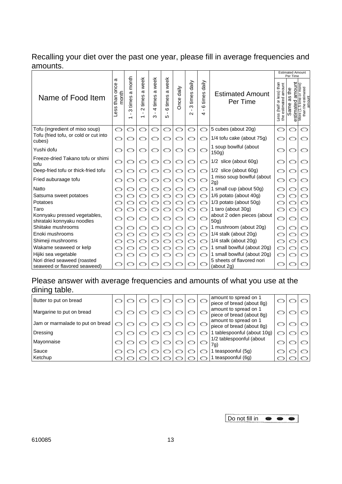# Recalling your diet over the past one year, please fill in average frequencies and amounts.<br>I Estimated Amount

|                                                             |                                |                                                              |                                         |                                                             |                                                   |            |                               |                                                  |                                         |                                                  | <b>Estimated Amount</b><br>Per Time         |                                                                 |
|-------------------------------------------------------------|--------------------------------|--------------------------------------------------------------|-----------------------------------------|-------------------------------------------------------------|---------------------------------------------------|------------|-------------------------------|--------------------------------------------------|-----------------------------------------|--------------------------------------------------|---------------------------------------------|-----------------------------------------------------------------|
| Name of Food Item                                           | ω<br>than once<br>month<br>ess | month<br>σ<br>times<br>ო<br>$\blacksquare$<br>$\overline{ }$ | week<br>ω<br>times<br>$\mathbf{\Omega}$ | week<br>σ<br>times<br>$\overline{a}$<br>$\blacksquare$<br>ო | a week<br>times<br>$\circ$<br>$\mathbf{r}$<br>LO. | Once daily | daily<br>times<br>ო<br>$\sim$ | daily<br>times<br>$\circ$<br>$\blacksquare$<br>4 | <b>Estimated Amount</b><br>Per Time     | Less (half or less) than<br>the estimated amount | amount<br>the<br>8g<br>8<br>ame<br>estimate | me or more)<br>than the estimated<br>$\frac{1}{1.5}$ th<br>More |
| Tofu (ingredient of miso soup)                              | $\circ$                        | O                                                            | O                                       | o                                                           | Ó                                                 | ෆ          | O                             | O                                                | 5 cubes (about 20g)                     | O                                                | ෆ                                           |                                                                 |
| Tofu (fried tofu, or cold or cut into<br>cubes)             | $\circ$                        | O                                                            | ◯                                       | O                                                           | O                                                 |            | O                             | O                                                | 1/4 tofu cake (about 75g)               | O                                                |                                             |                                                                 |
| Yushi dofu                                                  | O                              | ⇔                                                            | ◯                                       | O                                                           | ◯                                                 |            | ◯                             | O                                                | 1 soup bowlful (about<br>150g)          |                                                  |                                             |                                                                 |
| Freeze-dried Takano tofu or shimi<br>tofu                   | Ó                              | ⇔                                                            | O                                       | ⊂⊃                                                          | O                                                 |            | O                             | O                                                | $1/2$ slice (about 60g)                 | $\subset$                                        |                                             |                                                                 |
| Deep-fried tofu or thick-fried tofu                         | $\circ$                        | O                                                            | ◯                                       | O                                                           | ◯                                                 | ◯          | O                             | O                                                | $1/2$ slice (about 60g)                 | $\subset$                                        |                                             |                                                                 |
| Fried auburaage tofu                                        |                                |                                                              |                                         |                                                             | O                                                 |            |                               | O                                                | 1 miso soup bowlful (about<br>2g)       | $\subset$                                        |                                             |                                                                 |
| <b>Natto</b>                                                |                                |                                                              |                                         |                                                             | O                                                 |            |                               | O                                                | 1 small cup (about 50g)                 |                                                  |                                             |                                                                 |
| Satsuma sweet potatoes                                      |                                | O                                                            |                                         |                                                             | ာ                                                 |            | ◯                             | O                                                | 1/6 potato (about 40g)                  |                                                  |                                             |                                                                 |
| Potatoes                                                    |                                |                                                              |                                         |                                                             |                                                   |            |                               | O                                                | 1/3 potato (about 50g)                  |                                                  |                                             |                                                                 |
| Taro                                                        | O                              | ഠ                                                            |                                         |                                                             | O                                                 |            | O                             | O                                                | 1 taro (about 30g)                      |                                                  |                                             |                                                                 |
| Konnyaku pressed vegetables,<br>shirataki konnyaku noodles  |                                |                                                              | ⊃                                       |                                                             | ⇔                                                 |            |                               | O                                                | about 2 oden pieces (about<br>50g)      |                                                  |                                             |                                                                 |
| Shiitake mushrooms                                          |                                |                                                              | ာ                                       |                                                             | ິ                                                 |            | ⇔                             | O                                                | 1 mushroom (about 20g)                  |                                                  |                                             | ာ                                                               |
| Enoki mushrooms                                             |                                | ເມ                                                           |                                         |                                                             |                                                   |            |                               | O                                                | 1/4 stalk (about 20g)                   |                                                  |                                             | O                                                               |
| Shimeji mushrooms                                           |                                | ິ                                                            | O                                       | ς ,                                                         | ິ                                                 |            | O                             | O                                                | 1/4 stalk (about 20g)                   |                                                  |                                             | O                                                               |
| Wakame seaweed or kelp                                      |                                | O                                                            | ာ                                       |                                                             | ာ                                                 |            | ◯                             | O                                                | 1 small bowlful (about 20g)             |                                                  |                                             | ◯                                                               |
| Hijiki sea vegetable                                        |                                |                                                              | ာ                                       |                                                             | ာ                                                 |            |                               | ഠ                                                | 1 small bowlful (about 20g)             |                                                  |                                             |                                                                 |
| Nori dried seaweed (roasted<br>seaweed or flavored seaweed) |                                |                                                              |                                         |                                                             |                                                   |            | ◯                             | O                                                | 5 sheets of flavored nori<br>(about 2g) |                                                  |                                             |                                                                 |

# Please answer with average frequencies and amounts of what you use at the dining table.

| Butter to put on bread           |         |  |  |  | amount to spread on 1<br>piece of bread (about 8g) |  |  |
|----------------------------------|---------|--|--|--|----------------------------------------------------|--|--|
| Margarine to put on bread        |         |  |  |  | amount to spread on 1<br>piece of bread (about 8g) |  |  |
| Jam or marmalade to put on bread |         |  |  |  | amount to spread on 1<br>piece of bread (about 8q) |  |  |
| Dressing                         |         |  |  |  | 1 tablespoonful (about 10g)                        |  |  |
| Mayonnaise                       | $\circ$ |  |  |  | 1/2 tablespoonful (about<br>7g)                    |  |  |
| Sauce                            |         |  |  |  | teaspoonful (5g)                                   |  |  |
| Ketchup                          |         |  |  |  | 1 teaspoonful (6q)                                 |  |  |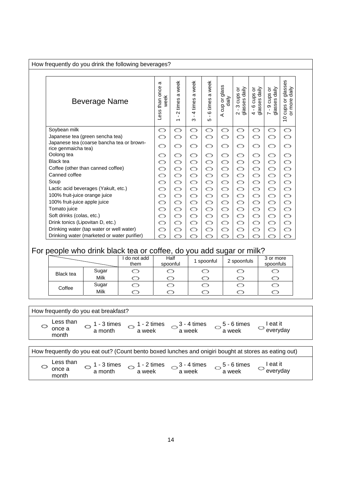How frequently do you drink the following beverages?

| Beverage Name                                                    | σ<br>once<br>week<br>than<br>Less | week<br>$\sigma$<br>times<br>$\sim$<br>$\mathbf{L}$<br>$\overline{\phantom{0}}$ | week<br>$\boldsymbol{\varpi}$<br>times<br>$\overline{a}$<br>×.<br>ო | week<br>ω<br>times<br>$\circ$<br>Ю | glass<br>daily<br>cup or<br>⋖ | $\frac{1}{2}$<br>১<br>cups<br>2 - 3 cup<br>glasses | ps or<br>daily<br>4 - 6 cups<br>glasses dai | cups or<br>$d$ aily<br>glasses<br>တ<br>$\mathbf{I}$<br>$\sim$ | glasses<br>$\frac{d}{d}$<br>cups or<br>or more<br>$\overline{C}$ |
|------------------------------------------------------------------|-----------------------------------|---------------------------------------------------------------------------------|---------------------------------------------------------------------|------------------------------------|-------------------------------|----------------------------------------------------|---------------------------------------------|---------------------------------------------------------------|------------------------------------------------------------------|
| Soybean milk                                                     | O                                 | O                                                                               | O                                                                   | O                                  | O                             | O                                                  | O                                           | O                                                             | O                                                                |
| Japanese tea (green sencha tea)                                  | O                                 | O                                                                               | O                                                                   | O                                  | O                             | Ó                                                  | O                                           | O                                                             | O                                                                |
| Japanese tea (coarse bancha tea or brown-<br>rice genmaicha tea) | O                                 | O                                                                               | O                                                                   | O                                  | O                             | Ó                                                  | O                                           | O                                                             | O                                                                |
| Oolong tea                                                       | O                                 | O                                                                               | O                                                                   | O                                  | O                             | O                                                  | O                                           | O                                                             | O                                                                |
| <b>Black tea</b>                                                 | O                                 | O                                                                               | O                                                                   | O                                  | O                             | O                                                  | O                                           | O                                                             | O                                                                |
| Coffee (other than canned coffee)                                | O                                 | O                                                                               | O                                                                   | O                                  | O                             | O                                                  | O                                           | O                                                             | O                                                                |
| Canned coffee                                                    | O                                 | O                                                                               | O                                                                   | O                                  | O                             | O                                                  | O                                           | O                                                             | O                                                                |
| Soup                                                             | O                                 | O                                                                               | O                                                                   | O                                  | O                             | O                                                  | O                                           | O                                                             | O                                                                |
| Lactic acid beverages (Yakult, etc.)                             | O                                 | O                                                                               | O                                                                   | O                                  | O                             | O                                                  | O                                           | O                                                             | O                                                                |
| 100% fruit-juice orange juice                                    | O                                 | O                                                                               | O                                                                   | O                                  | O                             | O                                                  | O                                           | O                                                             | O                                                                |
| 100% fruit-juice apple juice                                     | O                                 | O                                                                               | O                                                                   | O                                  | O                             | O                                                  | O                                           | O                                                             | O                                                                |
| Tomato juice                                                     | O                                 | O                                                                               | O                                                                   | O                                  | O                             | O                                                  | O                                           | O                                                             | O                                                                |
| Soft drinks (colas, etc.)                                        | O                                 | O                                                                               | O                                                                   | O                                  | O                             | O                                                  | O                                           | O                                                             | O                                                                |
| Drink tonics (Lipovitan D, etc.)                                 | O                                 | O                                                                               | O                                                                   | O                                  | O                             | O                                                  | O                                           | O                                                             | O                                                                |
| Drinking water (tap water or well water)                         | O                                 | O                                                                               | O                                                                   | O                                  | O                             | O                                                  | O                                           | O                                                             | O                                                                |
| Drinking water (marketed or water purifier)                      | ത                                 |                                                                                 |                                                                     |                                    |                               |                                                    |                                             |                                                               |                                                                  |

## For people who drink black tea or coffee, do you add sugar or milk?

|                  |       | do not add<br>them | Half<br>spoonful | l spoonful | 2 spoonfuls | 3 or more<br>spoonfuls |
|------------------|-------|--------------------|------------------|------------|-------------|------------------------|
| <b>Black tea</b> | Sugar |                    |                  |            |             |                        |
|                  | Milk  |                    |                  |            |             |                        |
| Coffee           | Sugar |                    |                  |            |             |                        |
|                  | Milk  |                    |                  |            |             |                        |

How frequently do you eat breakfast? How frequently do you eat out? (Count bento boxed lunches and onigiri bought at stores as eating out) Less than  $\circ$  once a month  $\circ$  1 - 3 times a month  $\bigcirc$  1 - 2 times a week 3 - 4 times a week 5 - 6 times a week I eat it  $\circ$ everyday

| Less than<br>once a<br>month | - 3 times<br>a month | $1 - 2$ times<br>a week | $3 - 4$ times<br>a week | $5 - 6$ times<br>a week | eat it<br>```<br>everyday |  |
|------------------------------|----------------------|-------------------------|-------------------------|-------------------------|---------------------------|--|
|------------------------------|----------------------|-------------------------|-------------------------|-------------------------|---------------------------|--|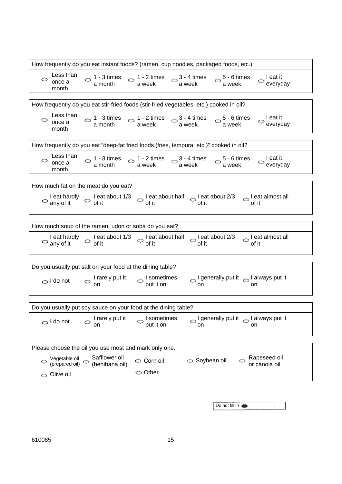| How frequently do you eat instant foods? (ramen, cup noodles, packaged foods, etc.)                                                                                                    |  |  |  |  |  |  |  |  |  |  |  |
|----------------------------------------------------------------------------------------------------------------------------------------------------------------------------------------|--|--|--|--|--|--|--|--|--|--|--|
| Less than<br>$\circ$ 1 - 3 times $\circ$ 1 - 2 times $\circ$ 3 - 4 times $\circ$ 5 - 6 times a month a week a week<br>I eat it<br>O<br>$\circlearrowright$ everyday<br>once a<br>month |  |  |  |  |  |  |  |  |  |  |  |
|                                                                                                                                                                                        |  |  |  |  |  |  |  |  |  |  |  |
| How frequently do you eat stir-fried foods (stir-fried vegetables, etc.) cooked in oil?                                                                                                |  |  |  |  |  |  |  |  |  |  |  |
| Less than<br>$\circ$ 1 - 3 times $\circ$ 1 - 2 times $\circ$ 3 - 4 times $\circ$ 5 - 6 times a month a week a week<br>l eat it<br>O<br>$\circlearrowright$ everyday<br>once a<br>month |  |  |  |  |  |  |  |  |  |  |  |
| How frequently do you eat "deep-fat fried foods (fries, tempura, etc.)" cooked in oil?                                                                                                 |  |  |  |  |  |  |  |  |  |  |  |
| Less than<br>$\circ$ 1 - 3 times $\circ$ 1 - 2 times $\circ$ 3 - 4 times $\circ$ 5 - 6 times a month a week<br>$\circ$ l eat it<br>everyday<br>once a<br>month                         |  |  |  |  |  |  |  |  |  |  |  |
| How much fat on the meat do you eat?                                                                                                                                                   |  |  |  |  |  |  |  |  |  |  |  |
| leat hardly $\circ$ leat about 1/3 $\circ$ leat about half $\circ$ leat about 2/3 $\circ$ leat almost all any of it of it<br>$\circ$ any of it                                         |  |  |  |  |  |  |  |  |  |  |  |
|                                                                                                                                                                                        |  |  |  |  |  |  |  |  |  |  |  |
| How much soup of the ramen, udon or soba do you eat?                                                                                                                                   |  |  |  |  |  |  |  |  |  |  |  |
| Leat hardly $\circ$ Leat about 1/3 $\circ$ Leat about half $\circ$ Leat about 2/3 $\circ$ Leat almost all of it                                                                        |  |  |  |  |  |  |  |  |  |  |  |
|                                                                                                                                                                                        |  |  |  |  |  |  |  |  |  |  |  |
| Do you usually put salt on your food at the dining table?                                                                                                                              |  |  |  |  |  |  |  |  |  |  |  |
| $\circ$ I generally put it $\circ$ I always put it<br>$\circ$ I rarely put it<br>$\circ$ I sometimes<br>put it on<br>$\bigcirc$ I do not<br>on<br>on                                   |  |  |  |  |  |  |  |  |  |  |  |
| Do you usually put soy sauce on your food at the dining table?                                                                                                                         |  |  |  |  |  |  |  |  |  |  |  |
| I rarely put it<br>I always put it   I always put it<br>I sometimes<br>$\bigcirc$ I do not<br>put it on<br>on<br>on<br>on                                                              |  |  |  |  |  |  |  |  |  |  |  |
| Please choose the oil you use most and mark only one.                                                                                                                                  |  |  |  |  |  |  |  |  |  |  |  |
|                                                                                                                                                                                        |  |  |  |  |  |  |  |  |  |  |  |
| Safflower oil<br>Rapeseed oil<br>Vegetable oil<br>Corn oil<br>$\circ$ Soybean oil<br>Ó<br>○<br>(prepared oil)<br>(benibana oil)<br>or canola oil                                       |  |  |  |  |  |  |  |  |  |  |  |

| Do not fill in ● |  |
|------------------|--|

 $\circ$  Olive oil  $\circ$  Other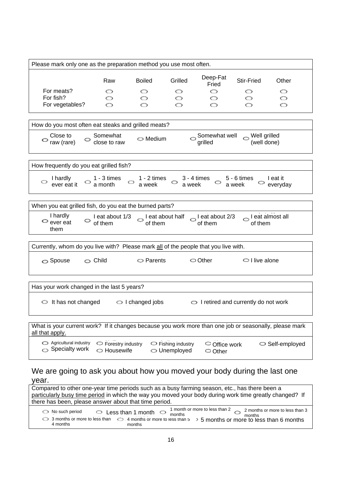| Please mark only one as the preparation method you use most often.                                                        |                                          |                                  |                                                |                                                             |                             |                                     |
|---------------------------------------------------------------------------------------------------------------------------|------------------------------------------|----------------------------------|------------------------------------------------|-------------------------------------------------------------|-----------------------------|-------------------------------------|
|                                                                                                                           |                                          |                                  |                                                |                                                             |                             |                                     |
|                                                                                                                           | Raw                                      | <b>Boiled</b>                    | Grilled                                        | Deep-Fat<br>Fried                                           | Stir-Fried                  | Other                               |
| For meats?                                                                                                                | ⇔                                        | ⇔                                | ⇔                                              | ⇔                                                           | ⇔                           | ⇔                                   |
| For fish?                                                                                                                 | ⇔                                        | ⇔                                | ◯                                              | O                                                           |                             | ◯                                   |
| For vegetables?                                                                                                           | ෆ                                        | ෆ                                |                                                | O                                                           |                             | ◯                                   |
|                                                                                                                           |                                          |                                  |                                                |                                                             |                             |                                     |
| How do you most often eat steaks and grilled meats?                                                                       |                                          |                                  |                                                |                                                             |                             |                                     |
| Close to<br>$\circ$ raw (rare)                                                                                            | Somewhat<br>close to raw                 | $\circ$ Medium                   | C                                              | Somewhat well<br>grilled                                    | Well grilled<br>(well done) |                                     |
|                                                                                                                           |                                          |                                  |                                                |                                                             |                             |                                     |
| How frequently do you eat grilled fish?                                                                                   |                                          |                                  |                                                |                                                             |                             |                                     |
| I hardly<br>O.<br>ever eat it                                                                                             | $\bigcirc$ 1 - 3 times<br>a month        | $\bigcirc$ 1 - 2 times<br>a week | O                                              | $3 - 4$ times $5 - 6$ times<br>a week a week                |                             | I eat it<br>$\circledcirc$ everyday |
|                                                                                                                           |                                          |                                  |                                                |                                                             |                             |                                     |
| When you eat grilled fish, do you eat the burned parts?                                                                   |                                          |                                  |                                                |                                                             |                             |                                     |
| I hardly<br>$\circ$ ever eat<br>them                                                                                      | I eat about 1/3<br>of them               | of them                          |                                                | $\circ$ l eat about half $\circ$ l eat about 2/3<br>of them | l eat almost all<br>of them |                                     |
|                                                                                                                           |                                          |                                  |                                                |                                                             |                             |                                     |
| Currently, whom do you live with? Please mark all of the people that you live with.                                       |                                          |                                  |                                                |                                                             |                             |                                     |
| $\circ$ Spouse                                                                                                            | $\circ$ Child                            | $\circ$ Parents                  |                                                | $\circ$ Other                                               | $\circ$ I live alone        |                                     |
|                                                                                                                           |                                          |                                  |                                                |                                                             |                             |                                     |
| Has your work changed in the last 5 years?                                                                                |                                          |                                  |                                                |                                                             |                             |                                     |
| $\circ$ It has not changed                                                                                                |                                          | $\circ$ I changed jobs           |                                                | $\circ$ I retired and currently do not work                 |                             |                                     |
|                                                                                                                           |                                          |                                  |                                                |                                                             |                             |                                     |
| What is your current work? If it changes because you work more than one job or seasonally, please mark<br>all that apply. |                                          |                                  |                                                |                                                             |                             |                                     |
| Agricultural industry<br>$\circ$ Specialty work                                                                           | $\circ$ Forestry industry<br>○ Housewife |                                  | $\circ$ Fishing industry<br>$\circ$ Unemployed | $\circ$ Office work<br>$\circ$ Other                        |                             | $\circ$ Self-employed               |
| We are going to ask you about how you moved your body during the last one<br>year.                                        |                                          |                                  |                                                |                                                             |                             |                                     |

Compared to other one-year time periods such as a busy farming season, etc., has there been a particularly busy time period in which the way you moved your body during work time greatly changed? If there has been, please answer about that time period.

No such period a months or more to less than  $\frac{1}{2}$  4 months or more to less than 5  $\frac{1}{2}$  5 months or more to less than 6 months 4 months Less than 1 month  $\bigcirc$   $\frac{1 \text{ month}}{ \text{ months}}$ months months 2 months or more to less than 3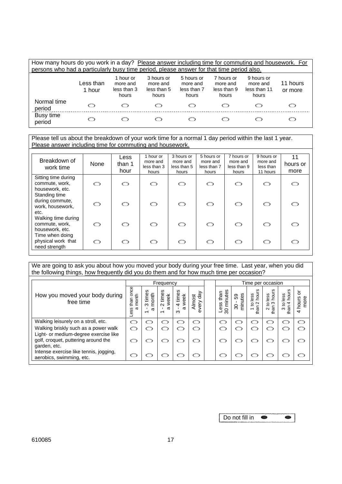| How many hours do you work in a day? Please answer including time for commuting and housework. For<br>persons who had a particularly busy time period, please answer for that time period also. |                     |                                               |                                                |                                                |                                                |                                                 |                     |  |
|-------------------------------------------------------------------------------------------------------------------------------------------------------------------------------------------------|---------------------|-----------------------------------------------|------------------------------------------------|------------------------------------------------|------------------------------------------------|-------------------------------------------------|---------------------|--|
|                                                                                                                                                                                                 | Less than<br>1 hour | 1 hour or<br>more and<br>less than 3<br>hours | 3 hours or<br>more and<br>less than 5<br>hours | 5 hours or<br>more and<br>less than 7<br>hours | 7 hours or<br>more and<br>less than 9<br>hours | 9 hours or<br>more and<br>less than 11<br>hours | 11 hours<br>or more |  |
| Normal time<br>period                                                                                                                                                                           | ော                  |                                               |                                                |                                                | ີ                                              |                                                 |                     |  |
| Busy time<br>period                                                                                                                                                                             | ິ                   |                                               |                                                |                                                |                                                |                                                 |                     |  |

Please tell us about the breakdown of your work time for a normal 1 day period within the last 1 year. Please answer including time for commuting and housework.

| Breakdown of<br>work time                                                 | None | Less<br>than 1<br>hour | 1 hour or<br>more and<br>less than 3<br>hours | 3 hours or<br>more and<br>less than 5<br>hours | 5 hours or<br>more and<br>less than 7<br>hours | 7 hours or<br>more and<br>less than 9<br>hours | 9 hours or<br>more and<br>less than<br>11 hours | 11<br>hours or<br>more |
|---------------------------------------------------------------------------|------|------------------------|-----------------------------------------------|------------------------------------------------|------------------------------------------------|------------------------------------------------|-------------------------------------------------|------------------------|
| Sitting time during<br>commute, work,<br>housework, etc.<br>Standing time | O    | O                      | ◯                                             | ◯                                              | O                                              | ◯                                              | ◯                                               | ◯                      |
| during commute,<br>work, housework,<br>etc.                               | O    | ഠ                      | $\circ$                                       | O                                              | $\circ$                                        | O                                              | ഠ                                               | ◯                      |
| Walking time during<br>commute, work,<br>housework, etc.                  | O    | റ                      | ഠ                                             | O                                              | O                                              | ഠ                                              | ෆ                                               | ◯                      |
| Time when doing<br>physical work that<br>need strength                    | O    | ◯                      | O                                             | O                                              | O                                              | ഠ                                              | ෆ                                               | c                      |

We are going to ask you about how you moved your body during your free time. Last year, when you did the following things, how frequently did you do them and for how much time per occasion?

|                                                                                              | Frequency                             |                                      |                              |                                           | Time per occasion                  |                                     |                           |                                        |                                              |                                     |                         |
|----------------------------------------------------------------------------------------------|---------------------------------------|--------------------------------------|------------------------------|-------------------------------------------|------------------------------------|-------------------------------------|---------------------------|----------------------------------------|----------------------------------------------|-------------------------------------|-------------------------|
| How you moved your body during<br>free time                                                  | once<br>month<br>than<br>σ<br>SS<br>Ф | S<br>Φ<br>month<br>ίm<br>ო<br>ω<br>↽ | times<br>week<br>$\sim$<br>σ | times<br>week<br>$\overline{a}$<br>π<br>ო | day<br><b>Almost</b><br>very<br>Ć۵ | minutes<br>than<br>Less<br>$\infty$ | tes<br>င္ပိ<br>minu<br>80 | ဖ<br>por<br>ess<br>$\sim$<br>₫<br>than | hours<br>အိ<br>ة<br>ო<br>₽<br>than<br>$\sim$ | hours<br>ess<br>4<br>₫<br>than<br>ო | ਠ<br>hours<br>more<br>4 |
| Walking leisurely on a stroll, etc.                                                          | O                                     |                                      | ⇔                            | ○                                         | ာ                                  |                                     |                           | ເມ                                     | ເມ                                           | ີ                                   | O                       |
| Walking briskly such as a power walk                                                         | ෆ                                     | ເມ                                   | C                            | ເມ                                        | ෆ                                  |                                     |                           | ເມ                                     | ເມ                                           | ⇔                                   | ເມ                      |
| Light- or medium-degree exercise like<br>golf, croquet, puttering around the<br>garden, etc. | ◯                                     |                                      |                              | ິ                                         | ◯                                  |                                     |                           |                                        |                                              | ເມ                                  | O                       |
| Intense exercise like tennis, jogging,<br>aerobics, swimming, etc.                           | $\mathbf{Q}_{\text{total}}$           |                                      |                              |                                           | ິ                                  |                                     |                           |                                        |                                              |                                     | ເມ                      |

| Do not fill in |  |
|----------------|--|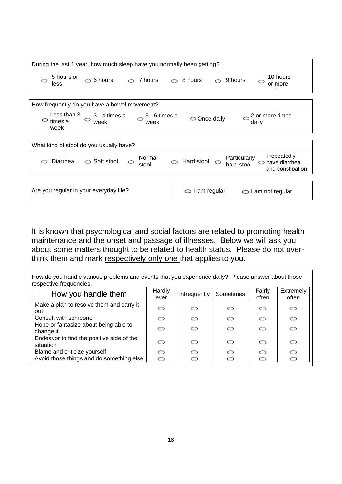| During the last 1 year, how much sleep have you normally been getting?                               |                                                                                                             |  |  |  |  |  |
|------------------------------------------------------------------------------------------------------|-------------------------------------------------------------------------------------------------------------|--|--|--|--|--|
| 5 hours or<br>$\circ$ 6 hours<br>$\circ$ 7 hours<br>O<br>less                                        | 10 hours<br>$\circ$ 8 hours<br>9 hours<br>O<br>or more                                                      |  |  |  |  |  |
|                                                                                                      |                                                                                                             |  |  |  |  |  |
| How frequently do you have a bowel movement?                                                         |                                                                                                             |  |  |  |  |  |
| Less than 3<br>$3 - 4$ times a<br>5 - 6 times a<br>Ó<br>O<br>$\circ$ times a<br>week<br>week<br>week | $\sim$ $ \sim$<br>2 or more times<br>Once daily<br>O<br>daily                                               |  |  |  |  |  |
|                                                                                                      |                                                                                                             |  |  |  |  |  |
| What kind of stool do you usually have?                                                              |                                                                                                             |  |  |  |  |  |
| Normal<br>◯ Soft stool<br>Diarrhea<br>◯<br>stool                                                     | I repeatedly<br>Particularly<br>Hard stool<br>$\Rightarrow$ have diarrhea<br>hard stool<br>and constipation |  |  |  |  |  |
|                                                                                                      |                                                                                                             |  |  |  |  |  |
| Are you regular in your everyday life?                                                               | I am regular<br>O<br>I am not regular<br>O                                                                  |  |  |  |  |  |

It is known that psychological and social factors are related to promoting health maintenance and the onset and passage of illnesses. Below we will ask you about some matters thought to be related to health status. Please do not overthink them and mark respectively only one that applies to you.

How do you handle various problems and events that you experience daily? Please answer about those respective frequencies.

| How you handle them                                    | Hardly<br>ever | Infrequently | Sometimes | Fairly<br>often | Extremely<br>often |
|--------------------------------------------------------|----------------|--------------|-----------|-----------------|--------------------|
| Make a plan to resolve them and carry it<br>out        | ◯              |              | ⇔         | ്               | ഠ                  |
| Consult with someone                                   | ෆ              | ⇔            | ◯         | ෆ               | O                  |
| Hope or fantasize about being able to<br>change it     | ്              | ⇔            | ്         | ෆ               | O                  |
| Endeavor to find the positive side of the<br>situation | ෆ              | ⇔            | ⇔         | ෙ               | O                  |
| Blame and criticize yourself                           | O              |              | ⇔         | O               | O                  |
| Avoid those things and do something else               | O              |              |           | ⇔               | ◯                  |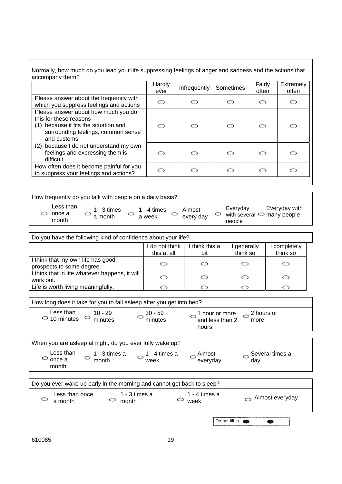Normally, how much do you lead your life suppressing feelings of anger and sadness and the actions that accompany them?

|                                                                                                                                                             | Hardly<br>ever | Infrequently | Sometimes | Fairly<br>often | Extremely<br>often |
|-------------------------------------------------------------------------------------------------------------------------------------------------------------|----------------|--------------|-----------|-----------------|--------------------|
| Please answer about the frequency with<br>which you suppress feelings and actions                                                                           | ഠ              | ⇔            |           | ◯               | ◯                  |
| Please answer about how much you do<br>this for these reasons<br>(1) because it fits the situation and<br>surrounding feelings, common sense<br>and customs | റ              | ෆ            | ന         | O               | ෆ                  |
| (2) because I do not understand my own<br>feelings and expressing them is<br>difficult                                                                      | റ              | ෙ            | ന         | O               | ◯                  |
| How often does it become painful for you<br>to suppress your feelings and actions?                                                                          | ◯              |              |           | O               | ◯                  |

| How frequently do you talk with people on a daily basis? |                          |                       |                     |  |                                                                           |  |  |  |
|----------------------------------------------------------|--------------------------|-----------------------|---------------------|--|---------------------------------------------------------------------------|--|--|--|
| Less than<br>once a<br>month                             | $1 - 3$ times<br>a month | 1 - 4 times<br>a week | Almost<br>every day |  | Everyday with<br>Everyday<br>with several $\ominus$ many people<br>people |  |  |  |
|                                                          |                          |                       |                     |  |                                                                           |  |  |  |

| Do you have the following kind of confidence about your life?  |                             |                       |                       |                        |  |  |  |
|----------------------------------------------------------------|-----------------------------|-----------------------|-----------------------|------------------------|--|--|--|
|                                                                | do not think<br>this at all | I think this a<br>bit | generally<br>think so | completely<br>think so |  |  |  |
| I think that my own life has good<br>prospects to some degree. |                             | ⇔                     |                       | ⇔                      |  |  |  |
| I think that in life whatever happens, it will<br>work out.    |                             | O                     | ◯                     | ⇔                      |  |  |  |
| Life is worth living meaningfully.                             |                             |                       |                       |                        |  |  |  |

| How long does it take for you to fall asleep after you get into bed? |                      |                                                                  |  |
|----------------------------------------------------------------------|----------------------|------------------------------------------------------------------|--|
| Less than<br>10 - 29<br>$\circ$ 10 minutes<br>minutes                | . 30 - 59<br>minutes | 2 hours or<br>1 hour or more<br>and less than 2<br>more<br>hours |  |

| When you are asleep at night, do you ever fully wake up?               |                        |                       |                    |                               |  |  |  |  |
|------------------------------------------------------------------------|------------------------|-----------------------|--------------------|-------------------------------|--|--|--|--|
| Less than<br>$\circ$ once a<br>month                                   | 1 - 3 times a<br>month | 1 - 4 times a<br>week | Almost<br>everyday | $\sim$ Several times a<br>day |  |  |  |  |
|                                                                        |                        |                       |                    |                               |  |  |  |  |
| Do you ever wake up early in the morning and cannot get back to sleep? |                        |                       |                    |                               |  |  |  |  |

| DO you ever wake up early in the morning and cannot get back to sleep! |                        |                       |                 |
|------------------------------------------------------------------------|------------------------|-----------------------|-----------------|
| Less than once<br>c<br>a month                                         | 1 - 3 times a<br>month | 1 - 4 times a<br>week | Almost everyday |
|                                                                        |                        | Do not fill in        |                 |